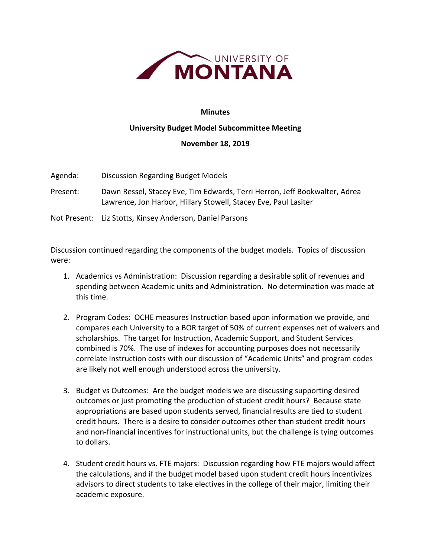

## **Minutes**

## **University Budget Model Subcommittee Meeting**

## **November 18, 2019**

Agenda: Discussion Regarding Budget Models

Present: Dawn Ressel, Stacey Eve, Tim Edwards, Terri Herron, Jeff Bookwalter, Adrea Lawrence, Jon Harbor, Hillary Stowell, Stacey Eve, Paul Lasiter

Not Present: Liz Stotts, Kinsey Anderson, Daniel Parsons

Discussion continued regarding the components of the budget models. Topics of discussion were:

- 1. Academics vs Administration: Discussion regarding a desirable split of revenues and spending between Academic units and Administration. No determination was made at this time.
- 2. Program Codes: OCHE measures Instruction based upon information we provide, and compares each University to a BOR target of 50% of current expenses net of waivers and scholarships. The target for Instruction, Academic Support, and Student Services combined is 70%. The use of indexes for accounting purposes does not necessarily correlate Instruction costs with our discussion of "Academic Units" and program codes are likely not well enough understood across the university.
- 3. Budget vs Outcomes: Are the budget models we are discussing supporting desired outcomes or just promoting the production of student credit hours? Because state appropriations are based upon students served, financial results are tied to student credit hours. There is a desire to consider outcomes other than student credit hours and non‐financial incentives for instructional units, but the challenge is tying outcomes to dollars.
- 4. Student credit hours vs. FTE majors: Discussion regarding how FTE majors would affect the calculations, and if the budget model based upon student credit hours incentivizes advisors to direct students to take electives in the college of their major, limiting their academic exposure.